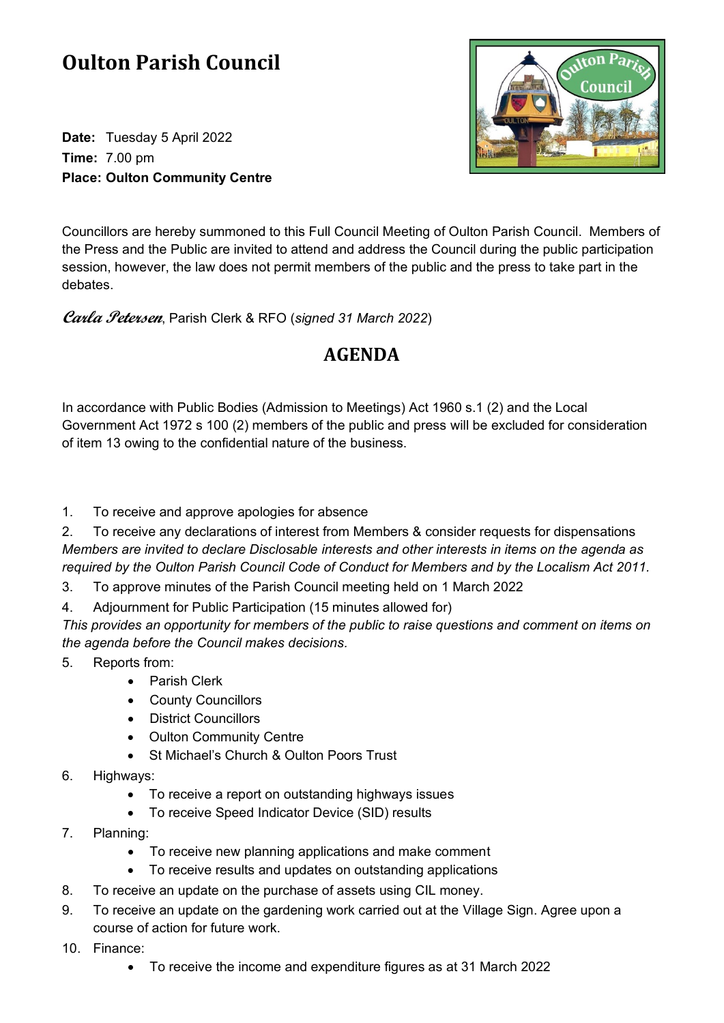## **Oulton Parish Council**

**Date:** Tuesday 5 April 2022 **Time:** 7.00 pm **Place: Oulton Community Centre**



Councillors are hereby summoned to this Full Council Meeting of Oulton Parish Council. Members of the Press and the Public are invited to attend and address the Council during the public participation session, however, the law does not permit members of the public and the press to take part in the debates.

**Carla Petersen**, Parish Clerk & RFO (*signed 31 March 2022*)

## **AGENDA**

In accordance with Public Bodies (Admission to Meetings) Act 1960 s.1 (2) and the Local Government Act 1972 s 100 (2) members of the public and press will be excluded for consideration of item 13 owing to the confidential nature of the business.

1. To receive and approve apologies for absence

2. To receive any declarations of interest from Members & consider requests for dispensations *Members are invited to declare Disclosable interests and other interests in items on the agenda as required by the Oulton Parish Council Code of Conduct for Members and by the Localism Act 2011.*

3. To approve minutes of the Parish Council meeting held on 1 March 2022

4. Adjournment for Public Participation (15 minutes allowed for)

*This provides an opportunity for members of the public to raise questions and comment on items on the agenda before the Council makes decisions.*

- 5. Reports from:
	- Parish Clerk
	- County Councillors
	- District Councillors
	- Oulton Community Centre
	- St Michael's Church & Oulton Poors Trust
- 6. Highways:
	- To receive a report on outstanding highways issues
	- To receive Speed Indicator Device (SID) results
- 7. Planning:
	- To receive new planning applications and make comment
	- To receive results and updates on outstanding applications
- 8. To receive an update on the purchase of assets using CIL money.
- 9. To receive an update on the gardening work carried out at the Village Sign. Agree upon a course of action for future work.
- 10. Finance:
	- To receive the income and expenditure figures as at 31 March 2022